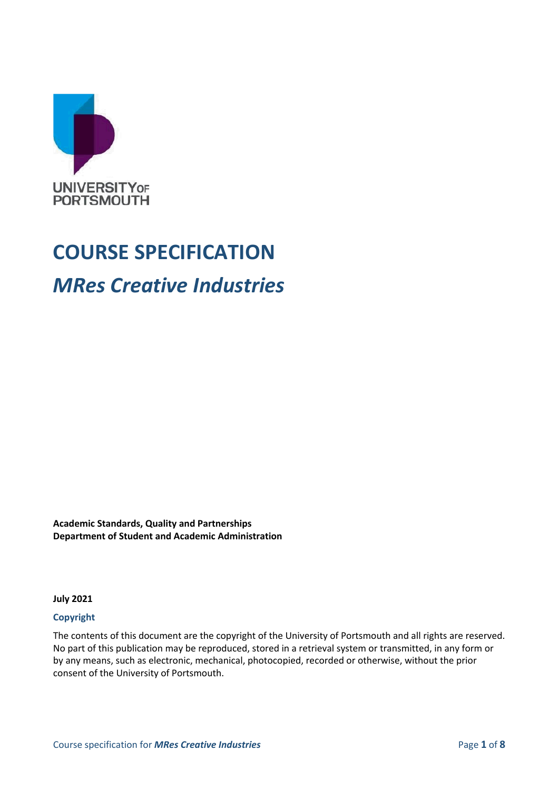

## **COURSE SPECIFICATION**

## *MRes Creative Industries*

**Academic Standards, Quality and Partnerships Department of Student and Academic Administration**

**July 2021**

#### **Copyright**

The contents of this document are the copyright of the University of Portsmouth and all rights are reserved. No part of this publication may be reproduced, stored in a retrieval system or transmitted, in any form or by any means, such as electronic, mechanical, photocopied, recorded or otherwise, without the prior consent of the University of Portsmouth.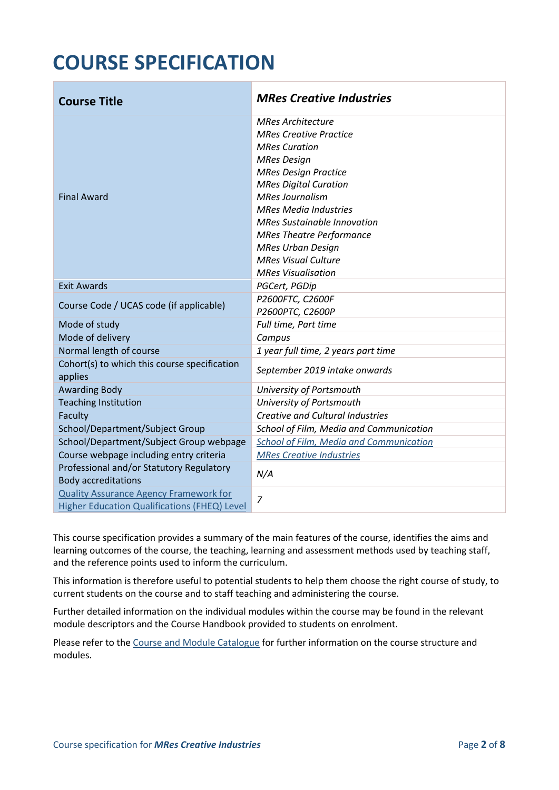# **COURSE SPECIFICATION**

| <b>Course Title</b>                                                                           | <b>MRes Creative Industries</b>                                                                                                                                                                                                                                                                                                                                                                  |  |
|-----------------------------------------------------------------------------------------------|--------------------------------------------------------------------------------------------------------------------------------------------------------------------------------------------------------------------------------------------------------------------------------------------------------------------------------------------------------------------------------------------------|--|
| <b>Final Award</b>                                                                            | <b>MRes Architecture</b><br><b>MRes Creative Practice</b><br><b>MRes Curation</b><br><b>MRes Design</b><br><b>MRes Design Practice</b><br><b>MRes Digital Curation</b><br><b>MRes Journalism</b><br><b>MRes Media Industries</b><br><b>MRes Sustainable Innovation</b><br><b>MRes Theatre Performance</b><br><b>MRes Urban Design</b><br><b>MRes Visual Culture</b><br><b>MRes Visualisation</b> |  |
| <b>Exit Awards</b>                                                                            | PGCert, PGDip                                                                                                                                                                                                                                                                                                                                                                                    |  |
| Course Code / UCAS code (if applicable)                                                       | P2600FTC, C2600F<br>P2600PTC, C2600P                                                                                                                                                                                                                                                                                                                                                             |  |
| Mode of study                                                                                 | Full time, Part time                                                                                                                                                                                                                                                                                                                                                                             |  |
| Mode of delivery                                                                              | Campus                                                                                                                                                                                                                                                                                                                                                                                           |  |
| Normal length of course                                                                       | 1 year full time, 2 years part time                                                                                                                                                                                                                                                                                                                                                              |  |
| Cohort(s) to which this course specification<br>applies                                       | September 2019 intake onwards                                                                                                                                                                                                                                                                                                                                                                    |  |
| <b>Awarding Body</b>                                                                          | University of Portsmouth                                                                                                                                                                                                                                                                                                                                                                         |  |
| <b>Teaching Institution</b>                                                                   | University of Portsmouth                                                                                                                                                                                                                                                                                                                                                                         |  |
| Faculty                                                                                       | Creative and Cultural Industries                                                                                                                                                                                                                                                                                                                                                                 |  |
| School/Department/Subject Group                                                               | School of Film, Media and Communication                                                                                                                                                                                                                                                                                                                                                          |  |
| School/Department/Subject Group webpage                                                       | School of Film, Media and Communication                                                                                                                                                                                                                                                                                                                                                          |  |
| Course webpage including entry criteria                                                       | <b>MRes Creative Industries</b>                                                                                                                                                                                                                                                                                                                                                                  |  |
| Professional and/or Statutory Regulatory<br><b>Body accreditations</b>                        | N/A                                                                                                                                                                                                                                                                                                                                                                                              |  |
| <b>Quality Assurance Agency Framework for</b><br>Higher Education Qualifications (FHEQ) Level | $\overline{7}$                                                                                                                                                                                                                                                                                                                                                                                   |  |

This course specification provides a summary of the main features of the course, identifies the aims and learning outcomes of the course, the teaching, learning and assessment methods used by teaching staff, and the reference points used to inform the curriculum.

This information is therefore useful to potential students to help them choose the right course of study, to current students on the course and to staff teaching and administering the course.

Further detailed information on the individual modules within the course may be found in the relevant module descriptors and the Course Handbook provided to students on enrolment.

Please refer to the [Course and Module Catalogue](https://course-module-catalog.port.ac.uk/#/welcome) for further information on the course structure and modules.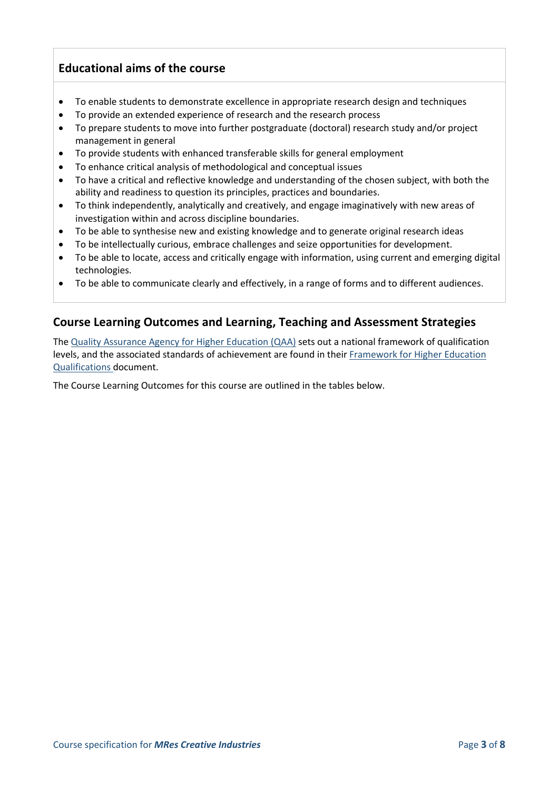## **Educational aims of the course**

- To enable students to demonstrate excellence in appropriate research design and techniques
- To provide an extended experience of research and the research process
- To prepare students to move into further postgraduate (doctoral) research study and/or project management in general
- To provide students with enhanced transferable skills for general employment
- To enhance critical analysis of methodological and conceptual issues
- To have a critical and reflective knowledge and understanding of the chosen subject, with both the ability and readiness to question its principles, practices and boundaries.
- To think independently, analytically and creatively, and engage imaginatively with new areas of investigation within and across discipline boundaries.
- To be able to synthesise new and existing knowledge and to generate original research ideas
- To be intellectually curious, embrace challenges and seize opportunities for development.
- To be able to locate, access and critically engage with information, using current and emerging digital technologies.
- To be able to communicate clearly and effectively, in a range of forms and to different audiences.

## **Course Learning Outcomes and Learning, Teaching and Assessment Strategies**

The [Quality Assurance Agency for Higher Education \(QAA\)](http://www.qaa.ac.uk/en) sets out a national framework of qualification levels, and the associated standards of achievement are found in their [Framework for Higher Education](https://www.qaa.ac.uk/quality-code/qualifications-frameworks)  [Qualifications](https://www.qaa.ac.uk/quality-code/qualifications-frameworks) document.

The Course Learning Outcomes for this course are outlined in the tables below.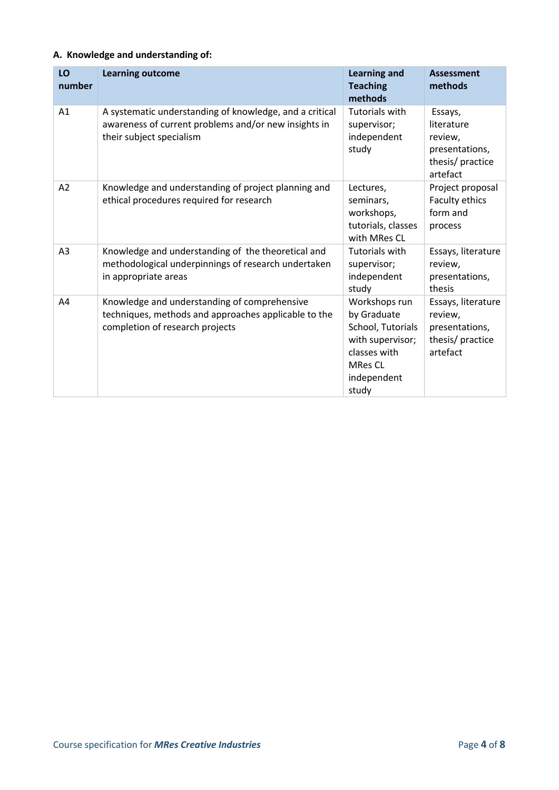## **A. Knowledge and understanding of:**

| LO<br>number   | <b>Learning outcome</b>                                                                                                                     | <b>Learning and</b><br><b>Teaching</b><br>methods                                                                               | <b>Assessment</b><br>methods                                                      |
|----------------|---------------------------------------------------------------------------------------------------------------------------------------------|---------------------------------------------------------------------------------------------------------------------------------|-----------------------------------------------------------------------------------|
| A <sub>1</sub> | A systematic understanding of knowledge, and a critical<br>awareness of current problems and/or new insights in<br>their subject specialism | <b>Tutorials with</b><br>supervisor;<br>independent<br>study                                                                    | Essays,<br>literature<br>review,<br>presentations,<br>thesis/practice<br>artefact |
| A <sub>2</sub> | Knowledge and understanding of project planning and<br>ethical procedures required for research                                             | Lectures,<br>seminars,<br>workshops,<br>tutorials, classes<br>with MRes CL                                                      | Project proposal<br>Faculty ethics<br>form and<br>process                         |
| A <sub>3</sub> | Knowledge and understanding of the theoretical and<br>methodological underpinnings of research undertaken<br>in appropriate areas           | Tutorials with<br>supervisor;<br>independent<br>study                                                                           | Essays, literature<br>review,<br>presentations,<br>thesis                         |
| A4             | Knowledge and understanding of comprehensive<br>techniques, methods and approaches applicable to the<br>completion of research projects     | Workshops run<br>by Graduate<br>School, Tutorials<br>with supervisor;<br>classes with<br><b>MRes CL</b><br>independent<br>study | Essays, literature<br>review,<br>presentations,<br>thesis/ practice<br>artefact   |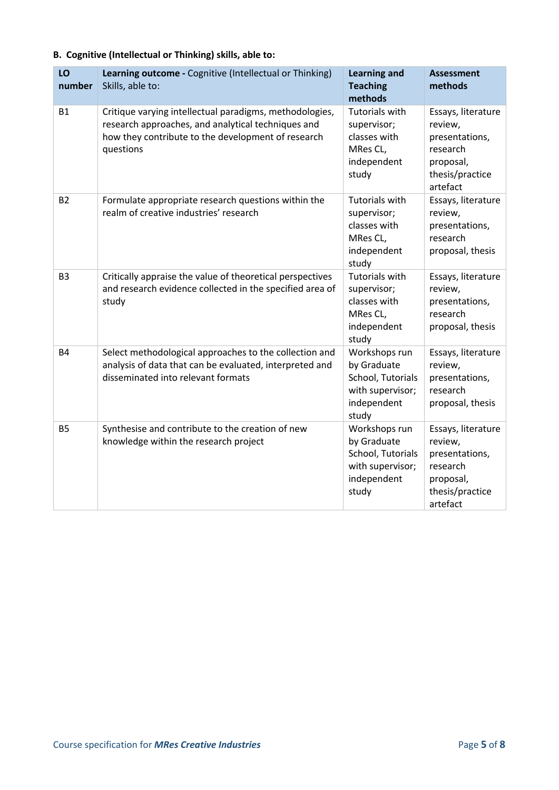|  |  |  |  | B. Cognitive (Intellectual or Thinking) skills, able to: |
|--|--|--|--|----------------------------------------------------------|
|--|--|--|--|----------------------------------------------------------|

| LO<br>number   | Learning outcome - Cognitive (Intellectual or Thinking)<br>Skills, able to:                                                                                                      | <b>Learning and</b><br><b>Teaching</b><br>methods                                             | <b>Assessment</b><br>methods                                                                            |
|----------------|----------------------------------------------------------------------------------------------------------------------------------------------------------------------------------|-----------------------------------------------------------------------------------------------|---------------------------------------------------------------------------------------------------------|
| <b>B1</b>      | Critique varying intellectual paradigms, methodologies,<br>research approaches, and analytical techniques and<br>how they contribute to the development of research<br>questions | <b>Tutorials with</b><br>supervisor;<br>classes with<br>MRes CL,<br>independent<br>study      | Essays, literature<br>review,<br>presentations,<br>research<br>proposal,<br>thesis/practice<br>artefact |
| <b>B2</b>      | Formulate appropriate research questions within the<br>realm of creative industries' research                                                                                    | <b>Tutorials with</b><br>supervisor;<br>classes with<br>MRes CL,<br>independent<br>study      | Essays, literature<br>review,<br>presentations,<br>research<br>proposal, thesis                         |
| B <sub>3</sub> | Critically appraise the value of theoretical perspectives<br>and research evidence collected in the specified area of<br>study                                                   | <b>Tutorials with</b><br>supervisor;<br>classes with<br>MRes CL,<br>independent<br>study      | Essays, literature<br>review,<br>presentations,<br>research<br>proposal, thesis                         |
| <b>B4</b>      | Select methodological approaches to the collection and<br>analysis of data that can be evaluated, interpreted and<br>disseminated into relevant formats                          | Workshops run<br>by Graduate<br>School, Tutorials<br>with supervisor;<br>independent<br>study | Essays, literature<br>review,<br>presentations,<br>research<br>proposal, thesis                         |
| <b>B5</b>      | Synthesise and contribute to the creation of new<br>knowledge within the research project                                                                                        | Workshops run<br>by Graduate<br>School, Tutorials<br>with supervisor;<br>independent<br>study | Essays, literature<br>review,<br>presentations,<br>research<br>proposal,<br>thesis/practice<br>artefact |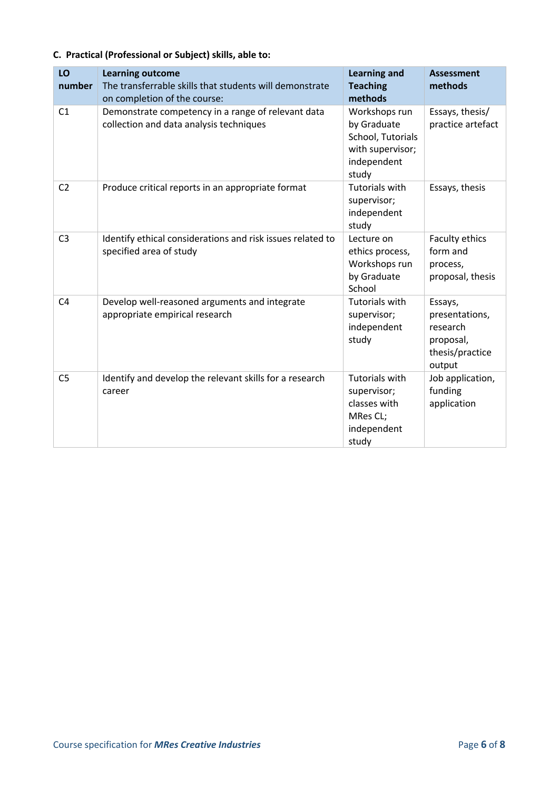## **C. Practical (Professional or Subject) skills, able to:**

| LO<br>number   | <b>Learning outcome</b><br>The transferrable skills that students will demonstrate<br>on completion of the course: | <b>Learning and</b><br><b>Teaching</b><br>methods                                             | <b>Assessment</b><br>methods                                                    |
|----------------|--------------------------------------------------------------------------------------------------------------------|-----------------------------------------------------------------------------------------------|---------------------------------------------------------------------------------|
| C <sub>1</sub> | Demonstrate competency in a range of relevant data<br>collection and data analysis techniques                      | Workshops run<br>by Graduate<br>School, Tutorials<br>with supervisor;<br>independent<br>study | Essays, thesis/<br>practice artefact                                            |
| C <sub>2</sub> | Produce critical reports in an appropriate format                                                                  | <b>Tutorials with</b><br>supervisor;<br>independent<br>study                                  | Essays, thesis                                                                  |
| C <sub>3</sub> | Identify ethical considerations and risk issues related to<br>specified area of study                              | Lecture on<br>ethics process,<br>Workshops run<br>by Graduate<br>School                       | Faculty ethics<br>form and<br>process,<br>proposal, thesis                      |
| C <sub>4</sub> | Develop well-reasoned arguments and integrate<br>appropriate empirical research                                    | <b>Tutorials with</b><br>supervisor;<br>independent<br>study                                  | Essays,<br>presentations,<br>research<br>proposal,<br>thesis/practice<br>output |
| C <sub>5</sub> | Identify and develop the relevant skills for a research<br>career                                                  | <b>Tutorials with</b><br>supervisor;<br>classes with<br>MRes CL;<br>independent<br>study      | Job application,<br>funding<br>application                                      |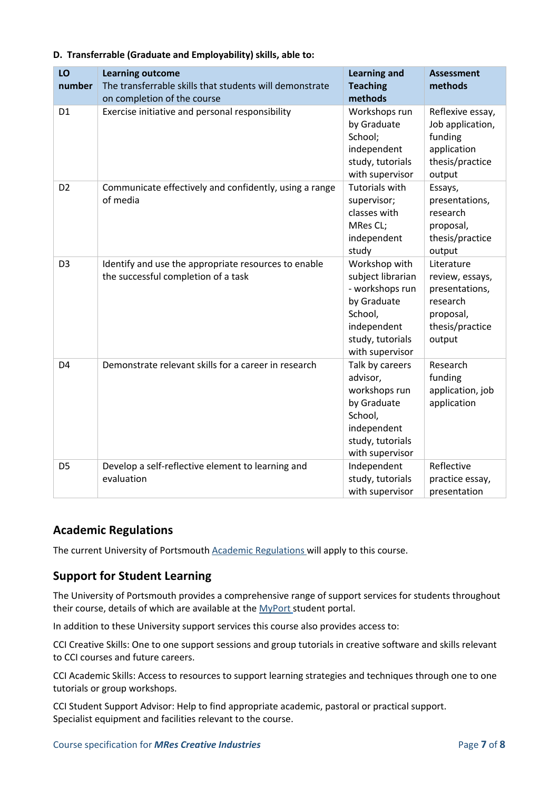| LO<br>number   | <b>Learning outcome</b><br>The transferrable skills that students will demonstrate<br>on completion of the course | <b>Learning and</b><br><b>Teaching</b><br>methods                                                                                     | <b>Assessment</b><br>methods                                                                          |
|----------------|-------------------------------------------------------------------------------------------------------------------|---------------------------------------------------------------------------------------------------------------------------------------|-------------------------------------------------------------------------------------------------------|
| D <sub>1</sub> | Exercise initiative and personal responsibility                                                                   | Workshops run<br>by Graduate<br>School;<br>independent<br>study, tutorials<br>with supervisor                                         | Reflexive essay,<br>Job application,<br>funding<br>application<br>thesis/practice<br>output           |
| D <sub>2</sub> | Communicate effectively and confidently, using a range<br>of media                                                | <b>Tutorials with</b><br>supervisor;<br>classes with<br>MRes CL;<br>independent<br>study                                              | Essays,<br>presentations,<br>research<br>proposal,<br>thesis/practice<br>output                       |
| D <sub>3</sub> | Identify and use the appropriate resources to enable<br>the successful completion of a task                       | Workshop with<br>subject librarian<br>- workshops run<br>by Graduate<br>School,<br>independent<br>study, tutorials<br>with supervisor | Literature<br>review, essays,<br>presentations,<br>research<br>proposal,<br>thesis/practice<br>output |
| D <sub>4</sub> | Demonstrate relevant skills for a career in research                                                              | Talk by careers<br>advisor,<br>workshops run<br>by Graduate<br>School,<br>independent<br>study, tutorials<br>with supervisor          | Research<br>funding<br>application, job<br>application                                                |
| D <sub>5</sub> | Develop a self-reflective element to learning and<br>evaluation                                                   | Independent<br>study, tutorials<br>with supervisor                                                                                    | Reflective<br>practice essay,<br>presentation                                                         |

#### **D. Transferrable (Graduate and Employability) skills, able to:**

## **Academic Regulations**

The current University of Portsmouth [Academic Regulations](https://staff.port.ac.uk/departments/services/academicregistry/qmd/assessmentandregulations/) will apply to this course.

## **Support for Student Learning**

The University of Portsmouth provides a comprehensive range of support services for students throughout their course, details of which are available at the [MyPort](http://myport.ac.uk/) student portal.

In addition to these University support services this course also provides access to:

CCI Creative Skills: One to one support sessions and group tutorials in creative software and skills relevant to CCI courses and future careers.

CCI Academic Skills: Access to resources to support learning strategies and techniques through one to one tutorials or group workshops.

CCI Student Support Advisor: Help to find appropriate academic, pastoral or practical support. Specialist equipment and facilities relevant to the course.